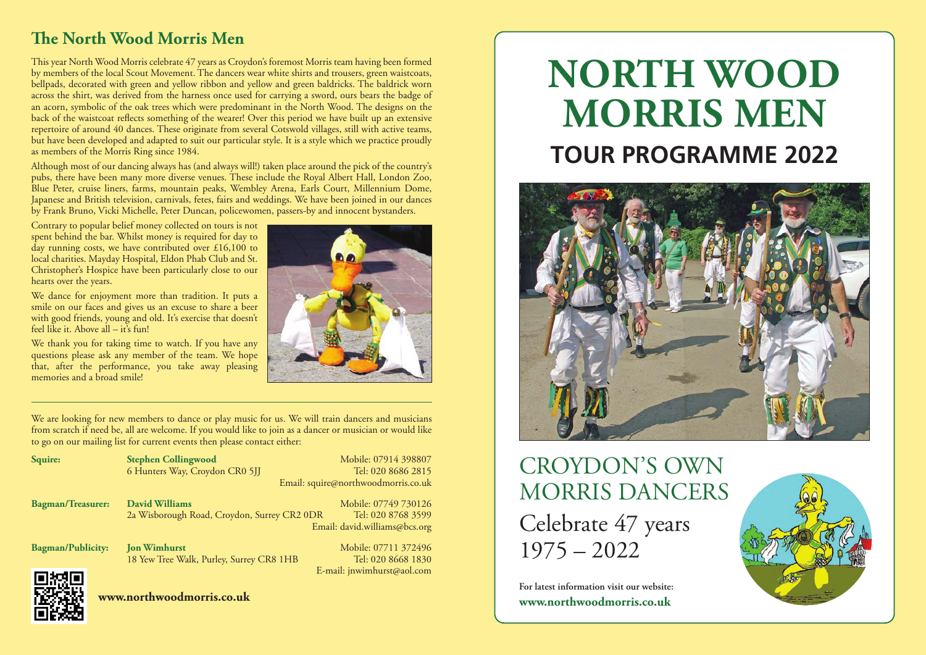#### **The North Wood Morris Men**

This year North Wood Morris celebrate 47 years as Croydon's foremost Morris team having been formed by members of the local Scout Movement. The dancers wear white shirts and trousers, green waistcoats, bellpads, decorated with green and yellow ribbon and yellow and green baldricks. The baldrick worn across the shirt, was derived from the harness once used for carrying a sword, ours bears the badge of an acorn, symbolic of the oak trees which were predominant in the North Wood. The designs on the back of the waistcoat reflects something of the wearer! Over this period we have built up an extensive repertoire of around 40 dances. These originate from several Cotswold villages, still with active teams, but have been developed and adapted to suit our particular style. It is a style which we practice proudly as members of the Morris Ring since 1984.

Although most of our dancing always has (and always will!) taken place around the pick of the country's pubs, there have been many more diverse venues. These include the Royal Albert Hall, London Zoo, Blue Peter, cruise liners, farms, mountain peaks, Wembley Arena, Earls Court, Millennium Dome, Japanese and British television, carnivals, fetes, fairs and weddings. We have been joined in our dances by Frank Bruno, Vicki Michelle, Peter Duncan, policewomen, passers-by and innocent bystanders.

Contrary to popular belief money collected on tours is not spent behind the bar. Whilst money is required for day to day running costs, we have contributed over £16,100 to local charities. Mayday Hospital, Eldon Phab Club and St. Christopher's Hospice have been particularly close to our hearts over the years.

We dance for enjoyment more than tradition. It puts a smile on our faces and gives us an excuse to share a beer with good friends, young and old. It's exercise that doesn't feel like it. Above all  $-$  it's fun!

We thank you for taking time to watch. If you have any questions please ask any member of the team. We hope that, after the performance, you take away pleasing memories and a broad smile!



We are looking for new members to dance or play music for us. We will train dancers and musicians from scratch if need be, all are welcome. If you would like to join as a dancer or musician or would like to go on our mailing list for current events then please contact either:

| Squire:                  | <b>Stephen Collingwood</b>                  | Mobile: 07914 398807                |
|--------------------------|---------------------------------------------|-------------------------------------|
|                          | 6 Hunters Way, Croydon CR0 5JJ              | Tel: 020 8686 2815                  |
|                          |                                             | Email: squire@northwoodmorris.co.uk |
| <b>Bagman/Treasurer:</b> | <b>David Williams</b>                       | Mobile: 07749 730126                |
|                          | 2a Wisborough Road, Croydon, Surrey CR2 0DR | Tel: 020 8768 3599                  |
|                          |                                             | Email: david.williams@bcs.org       |
| <b>Bagman/Publicity:</b> | <b>Jon Wimhurst</b>                         | Mobile: 07711 372496                |
|                          | 18 Yew Tree Walk, Purley, Surrey CR8 1HB    | Tel: 020 8668 1830                  |
| ▀▘▘▄▘▀▘                  |                                             | E-mail: jnwimhurst@aol.com          |

# **NORTH WOOD MORRIS MEN TOUR PROGRAMME 2022**



# CROYDON'S OWN MORRIS DANCERS Celebrate 47 years 1975 – 2022

**For latest information visit our website: www.northwoodmorris.co.uk**



**www.northwoodmorris.co.uk**